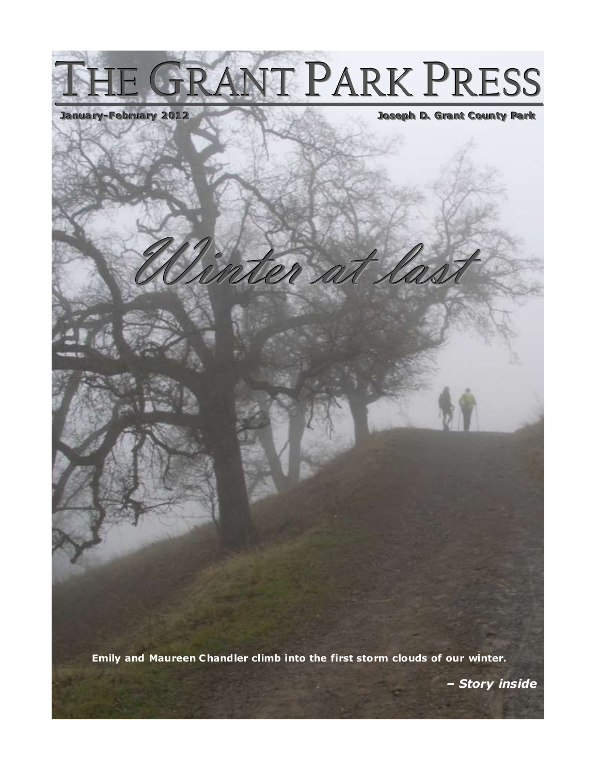# THE GRANT PARK PRESS

### Joseph D. Grant County Park

at las

**Emily and Maureen C handler climb into the first storm clouds of our winter.**

*– Story inside .*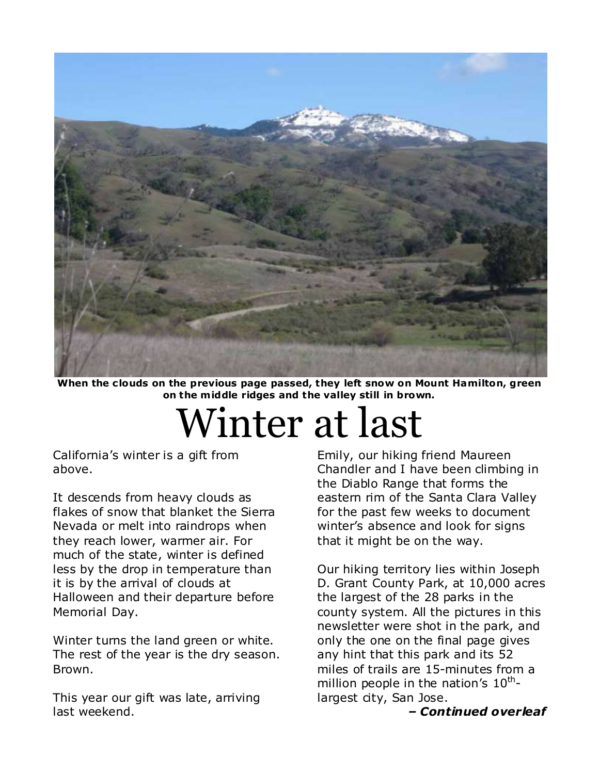

When the clouds on the previous page passed, they left snow on Mount Hamilton, green **on the m iddle ridges and the valley still in brown.**

### Winter at last

California's winter is a gift from above.

It descends from heavy clouds as flakes of snow that blanket the Sierra Nevada or melt into raindrops when they reach lower, warmer air. For much of the state, winter is defined less by the drop in temperature than it is by the arrival of clouds at Halloween and their departure before Memorial Day.

Winter turns the land green or white. The rest of the year is the dry season. Brown.

This year our gift was late, arriving last weekend.

Emily, our hiking friend Maureen Chandler and I have been climbing in the Diablo Range that forms the eastern rim of the Santa Clara Valley for the past few weeks to document winter's absence and look for signs that it might be on the way.

Our hiking territory lies within Joseph D. Grant County Park, at 10,000 acres the largest of the 28 parks in the county system. All the pictures in this newsletter were shot in the park, and only the one on the final page gives any hint that this park and its 52 miles of trails are 15-minutes from a million people in the nation's 10<sup>th</sup>largest city, San Jose.

*– Continued overleaf*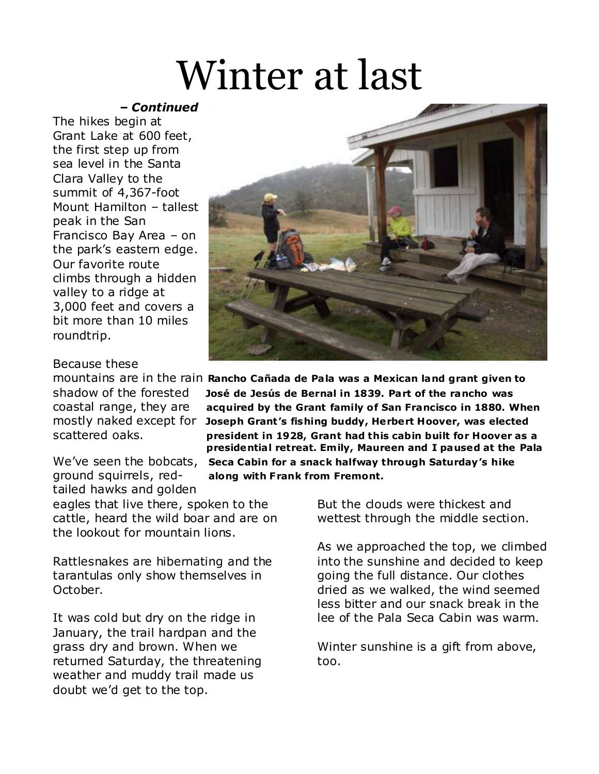### Winter at last

### *– Continued*

The hikes begin at Grant Lake at 600 feet, the first step up from sea level in the Santa Clara Valley to the summit of 4,367-foot Mount Hamilton – tallest peak in the San Francisco Bay Area – on the park's eastern edge. Our favorite route climbs through a hidden valley to a ridge at 3,000 feet and covers a bit more than 10 miles roundtrip.

### Because these

tailed hawks and golden

eagles that live there, spoken to the cattle, heard the wild boar and are on the lookout for mountain lions.

Rattlesnakes are hibernating and the tarantulas only show themselves in October.

It was cold but dry on the ridge in January, the trail hardpan and the grass dry and brown. When we returned Saturday, the threatening weather and muddy trail made us doubt we'd get to the top.



mountains are in the rain **Rancho Cañada de Pa la was a Mexican land grant given to**  shadow of the forested **José de Jesús de Bernal in 1839. Part of the rancho was**  coastal range, they are **acquired by the Grant family of San Francisco in 1880. When** mostly naked except for **Joseph Grant's fishing buddy, Herbert Hoover, was elected** scattered oaks. **president in 1928, Grant had this cabin built for Hoover as a presidentia l retreat. Em ily, Maureen and I paused at the Pala** We've seen the bobcats, **Seca Cabin for a snack halfway through Saturday's hike**  ground squirrels, red- **along with Frank from Fremont.** 

> But the clouds were thickest and wettest through the middle section.

As we approached the top, we climbed into the sunshine and decided to keep going the full distance. Our clothes dried as we walked, the wind seemed less bitter and our snack break in the lee of the Pala Seca Cabin was warm.

Winter sunshine is a gift from above, too.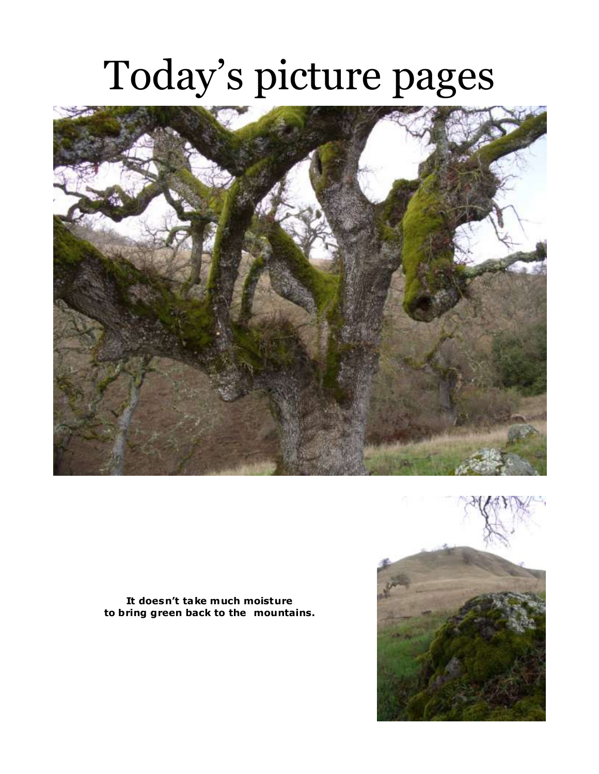## Today's picture pages



**It doesn't take much moisture to bring green back to the mountains.**

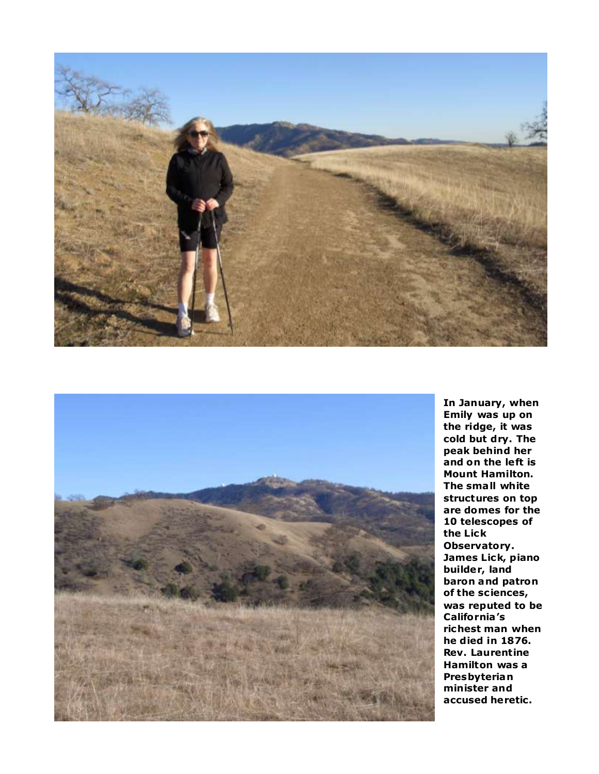



**In January, when Emily was up on the ridge, it was cold but dry. The peak behind her and on the left is Mount Hamilton. The sma ll white structures on top are domes for the 10 telescopes of the Lick Observatory. James Lick, piano builder, land baron and patron of the sc iences, was reputed to be California's richest man when he died in 1876. Rev. Laurentine Hamilton was a Presbyterian minister and accused heretic.**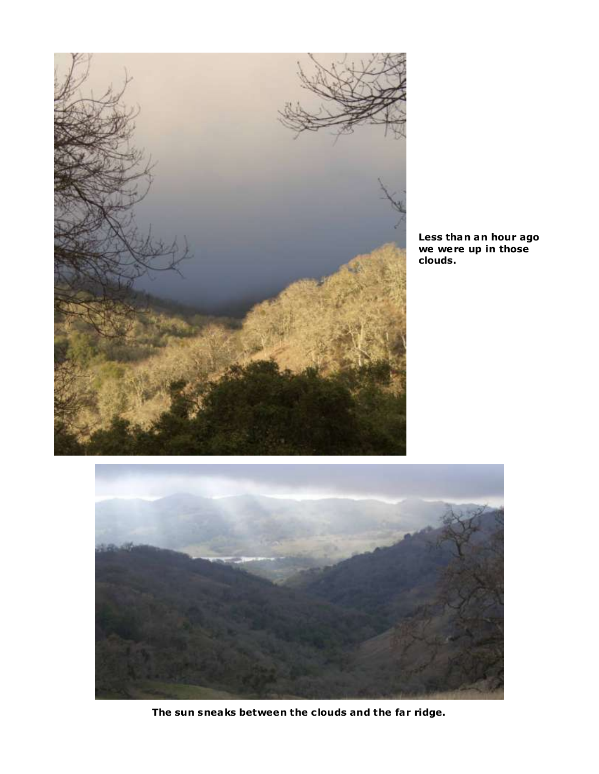

**Less than an hour ago we were up in those clouds.**



**The sun sneaks between the c louds and the far ridge.**